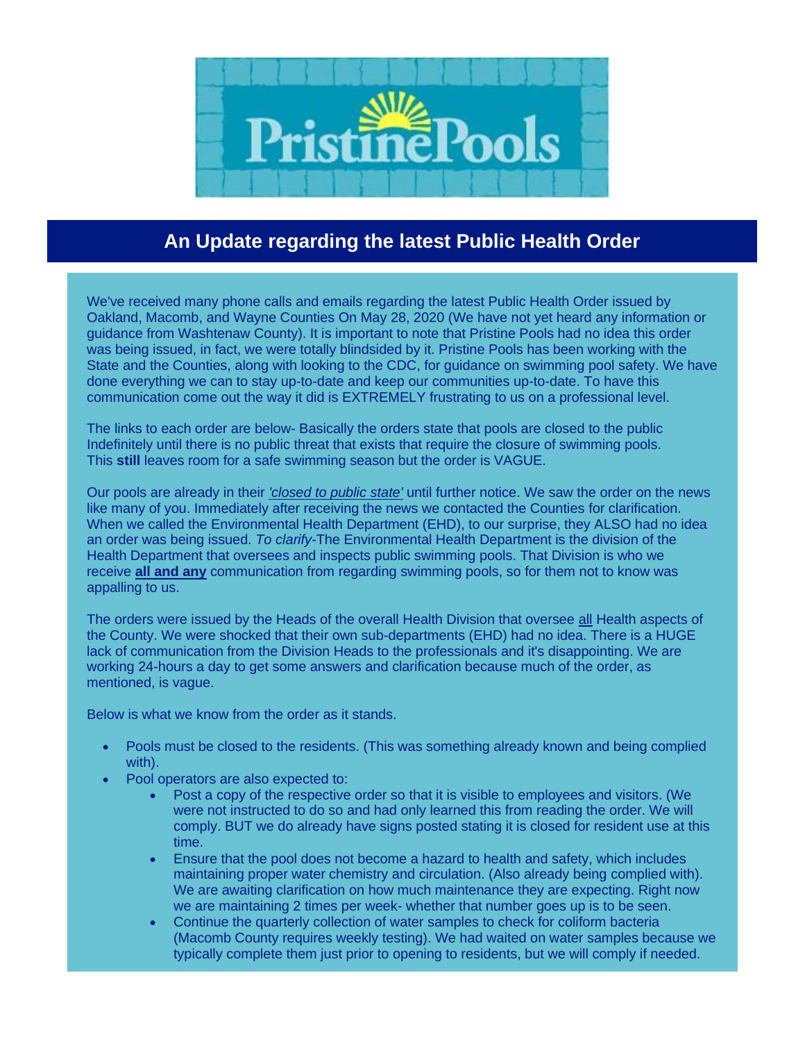

## **An Update regarding the latest Public Health Order**

We've received many phone calls and emails regarding the latest Public Health Order issued by Oakland, Macomb, and Wayne Counties On May 28, 2020 (We have not yet heard any information or guidance from Washtenaw County). It is important to note that Pristine Pools had no idea this order was being issued, in fact, we were totally blindsided by it. Pristine Pools has been working with the State and the Counties, along with looking to the CDC, for guidance on swimming pool safety. We have done everything we can to stay up-to-date and keep our communities up-to-date. To have this communication come out the way it did is EXTREMELY frustrating to us on a professional level.

The links to each order are below- Basically the orders state that pools are closed to the public Indefinitely until there is no public threat that exists that require the closure of swimming pools. This **still** leaves room for a safe swimming season but the order is VAGUE.

Our pools are already in their *'closed to public state'* until further notice. We saw the order on the news like many of you. Immediately after receiving the news we contacted the Counties for clarification. When we called the Environmental Health Department (EHD), to our surprise, they ALSO had no idea an order was being issued. *To clarify-*The Environmental Health Department is the division of the Health Department that oversees and inspects public swimming pools. That Division is who we receive **all and any** communication from regarding swimming pools, so for them not to know was appalling to us.

The orders were issued by the Heads of the overall Health Division that oversee all Health aspects of the County. We were shocked that their own sub-departments (EHD) had no idea. There is a HUGE lack of communication from the Division Heads to the professionals and it's disappointing. We are working 24-hours a day to get some answers and clarification because much of the order, as mentioned, is vague.

Below is what we know from the order as it stands.

- Pools must be closed to the residents. (This was something already known and being complied with).
- Pool operators are also expected to:
	- Post a copy of the respective order so that it is visible to employees and visitors. (We were not instructed to do so and had only learned this from reading the order. We will comply. BUT we do already have signs posted stating it is closed for resident use at this time.
	- Ensure that the pool does not become a hazard to health and safety, which includes maintaining proper water chemistry and circulation. (Also already being complied with). We are awaiting clarification on how much maintenance they are expecting. Right now we are maintaining 2 times per week- whether that number goes up is to be seen.
	- Continue the quarterly collection of water samples to check for coliform bacteria (Macomb County requires weekly testing). We had waited on water samples because we typically complete them just prior to opening to residents, but we will comply if needed.